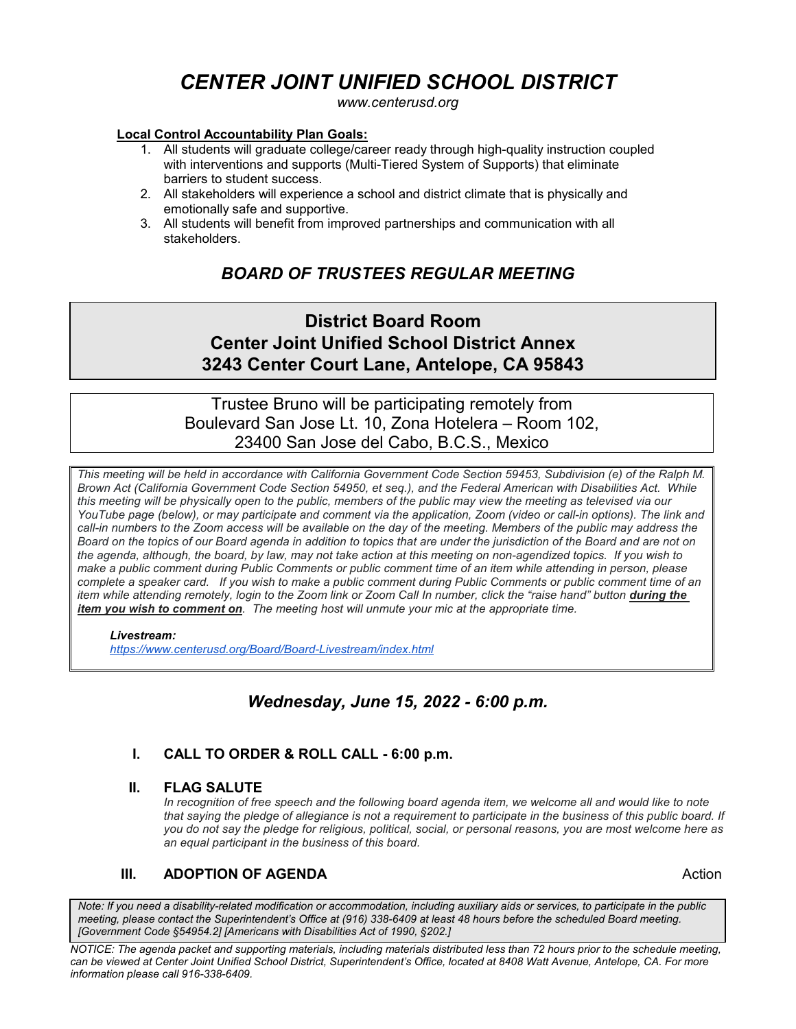# *CENTER JOINT UNIFIED SCHOOL DISTRICT*

*www.centerusd.org*

#### **Local Control Accountability Plan Goals:**

- 1. All students will graduate college/career ready through high-quality instruction coupled with interventions and supports (Multi-Tiered System of Supports) that eliminate barriers to student success.
- 2. All stakeholders will experience a school and district climate that is physically and emotionally safe and supportive.
- 3. All students will benefit from improved partnerships and communication with all stakeholders.

# *BOARD OF TRUSTEES REGULAR MEETING*

# **District Board Room Center Joint Unified School District Annex 3243 Center Court Lane, Antelope, CA 95843**

Trustee Bruno will be participating remotely from Boulevard San Jose Lt. 10, Zona Hotelera – Room 102, 23400 San Jose del Cabo, B.C.S., Mexico

*This meeting will be held in accordance with California Government Code Section 59453, Subdivision (e) of the Ralph M. Brown Act (California Government Code Section 54950, et seq.), and the Federal American with Disabilities Act. While this meeting will be physically open to the public, members of the public may view the meeting as televised via our YouTube page (below), or may participate and comment via the application, Zoom (video or call-in options). The link and call-in numbers to the Zoom access will be available on the day of the meeting. Members of the public may address the Board on the topics of our Board agenda in addition to topics that are under the jurisdiction of the Board and are not on the agenda, although, the board, by law, may not take action at this meeting on non-agendized topics. If you wish to make a public comment during Public Comments or public comment time of an item while attending in person, please complete a speaker card. If you wish to make a public comment during Public Comments or public comment time of an item while attending remotely, login to the Zoom link or Zoom Call In number, click the "raise hand" button during the item you wish to comment on. The meeting host will unmute your mic at the appropriate time.*

#### *Livestream:*

 *<https://www.centerusd.org/Board/Board-Livestream/index.html>*

## *Wednesday, June 15, 2022 - 6:00 p.m.*

### **I. CALL TO ORDER & ROLL CALL - 6:00 p.m.**

#### **II. FLAG SALUTE**

*In recognition of free speech and the following board agenda item, we welcome all and would like to note*  that saying the pledge of allegiance is not a requirement to participate in the business of this public board. If *you do not say the pledge for religious, political, social, or personal reasons, you are most welcome here as an equal participant in the business of this board.*

### **III. ADOPTION OF AGENDA Action Action**

*Note: If you need a disability-related modification or accommodation, including auxiliary aids or services, to participate in the public meeting, please contact the Superintendent's Office at (916) 338-6409 at least 48 hours before the scheduled Board meeting. [Government Code §54954.2] [Americans with Disabilities Act of 1990, §202.]*

*NOTICE: The agenda packet and supporting materials, including materials distributed less than 72 hours prior to the schedule meeting, can be viewed at Center Joint Unified School District, Superintendent's Office, located at 8408 Watt Avenue, Antelope, CA. For more information please call 916-338-6409.*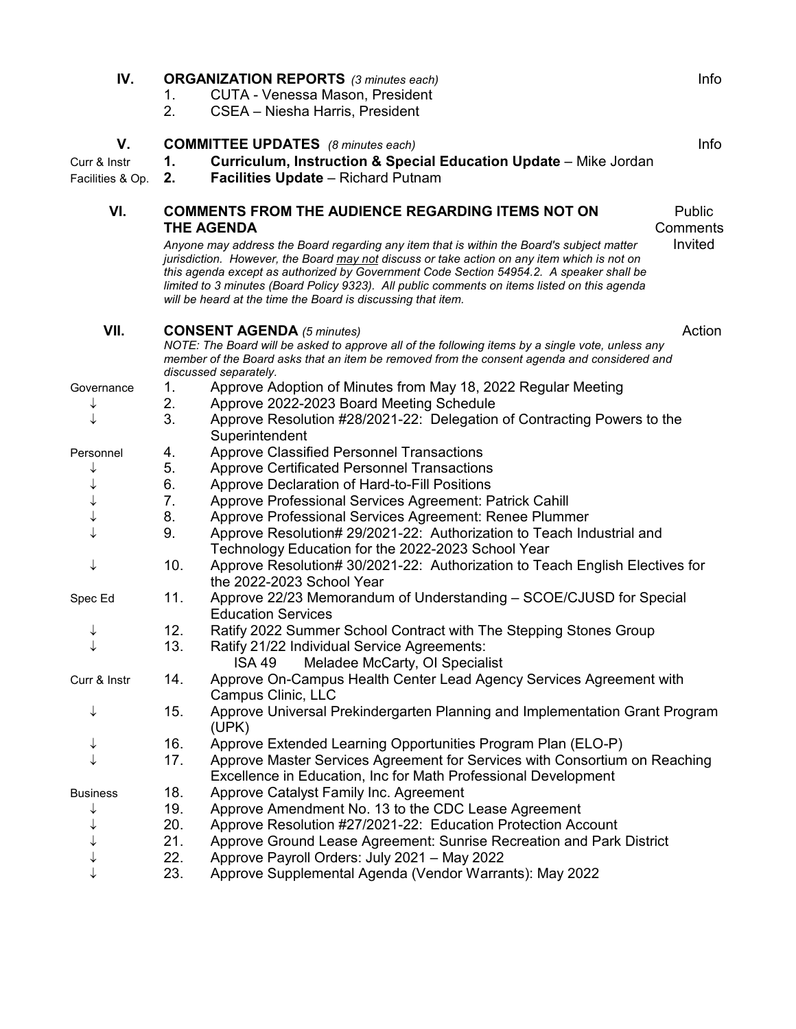| IV.              | Info<br><b>ORGANIZATION REPORTS</b> (3 minutes each) |                                                                                                                                                                                                                                                                                                                                                                                                                                                            |                    |  |
|------------------|------------------------------------------------------|------------------------------------------------------------------------------------------------------------------------------------------------------------------------------------------------------------------------------------------------------------------------------------------------------------------------------------------------------------------------------------------------------------------------------------------------------------|--------------------|--|
|                  | 1.                                                   | <b>CUTA - Venessa Mason, President</b>                                                                                                                                                                                                                                                                                                                                                                                                                     |                    |  |
|                  | 2.                                                   | CSEA - Niesha Harris, President                                                                                                                                                                                                                                                                                                                                                                                                                            |                    |  |
| V.               |                                                      | <b>COMMITTEE UPDATES</b> (8 minutes each)                                                                                                                                                                                                                                                                                                                                                                                                                  | Info               |  |
| Curr & Instr     | 1.                                                   | Curriculum, Instruction & Special Education Update - Mike Jordan                                                                                                                                                                                                                                                                                                                                                                                           |                    |  |
| Facilities & Op. | 2.                                                   | <b>Facilities Update</b> - Richard Putnam                                                                                                                                                                                                                                                                                                                                                                                                                  |                    |  |
| VI.              |                                                      | <b>COMMENTS FROM THE AUDIENCE REGARDING ITEMS NOT ON</b><br><b>THE AGENDA</b>                                                                                                                                                                                                                                                                                                                                                                              | Public<br>Comments |  |
|                  |                                                      | Anyone may address the Board regarding any item that is within the Board's subject matter<br>jurisdiction. However, the Board <u>may not</u> discuss or take action on any item which is not on<br>this agenda except as authorized by Government Code Section 54954.2. A speaker shall be<br>limited to 3 minutes (Board Policy 9323). All public comments on items listed on this agenda<br>will be heard at the time the Board is discussing that item. | Invited            |  |
| VII.             |                                                      | <b>CONSENT AGENDA (5 minutes)</b>                                                                                                                                                                                                                                                                                                                                                                                                                          | Action             |  |
|                  |                                                      | NOTE: The Board will be asked to approve all of the following items by a single vote, unless any<br>member of the Board asks that an item be removed from the consent agenda and considered and<br>discussed separately.                                                                                                                                                                                                                                   |                    |  |
| Governance       | 1.                                                   | Approve Adoption of Minutes from May 18, 2022 Regular Meeting                                                                                                                                                                                                                                                                                                                                                                                              |                    |  |
|                  | 2.                                                   | Approve 2022-2023 Board Meeting Schedule                                                                                                                                                                                                                                                                                                                                                                                                                   |                    |  |
|                  | 3.                                                   | Approve Resolution #28/2021-22: Delegation of Contracting Powers to the<br>Superintendent                                                                                                                                                                                                                                                                                                                                                                  |                    |  |
| Personnel        | 4.                                                   | <b>Approve Classified Personnel Transactions</b>                                                                                                                                                                                                                                                                                                                                                                                                           |                    |  |
|                  | 5.                                                   | <b>Approve Certificated Personnel Transactions</b>                                                                                                                                                                                                                                                                                                                                                                                                         |                    |  |
|                  | 6.                                                   | Approve Declaration of Hard-to-Fill Positions                                                                                                                                                                                                                                                                                                                                                                                                              |                    |  |
|                  | 7.                                                   | Approve Professional Services Agreement: Patrick Cahill                                                                                                                                                                                                                                                                                                                                                                                                    |                    |  |
|                  | 8.                                                   | Approve Professional Services Agreement: Renee Plummer                                                                                                                                                                                                                                                                                                                                                                                                     |                    |  |
|                  | 9.                                                   | Approve Resolution# 29/2021-22: Authorization to Teach Industrial and<br>Technology Education for the 2022-2023 School Year                                                                                                                                                                                                                                                                                                                                |                    |  |
| ↓                | 10.                                                  | Approve Resolution# 30/2021-22: Authorization to Teach English Electives for<br>the 2022-2023 School Year                                                                                                                                                                                                                                                                                                                                                  |                    |  |
| Spec Ed          | 11.                                                  | Approve 22/23 Memorandum of Understanding - SCOE/CJUSD for Special<br><b>Education Services</b>                                                                                                                                                                                                                                                                                                                                                            |                    |  |
|                  | 12.                                                  | Ratify 2022 Summer School Contract with The Stepping Stones Group                                                                                                                                                                                                                                                                                                                                                                                          |                    |  |
|                  | 13.                                                  | Ratify 21/22 Individual Service Agreements:                                                                                                                                                                                                                                                                                                                                                                                                                |                    |  |
|                  |                                                      | Meladee McCarty, OI Specialist<br><b>ISA 49</b>                                                                                                                                                                                                                                                                                                                                                                                                            |                    |  |
| Curr & Instr     | 14.                                                  | Approve On-Campus Health Center Lead Agency Services Agreement with<br>Campus Clinic, LLC                                                                                                                                                                                                                                                                                                                                                                  |                    |  |
|                  | 15.                                                  | Approve Universal Prekindergarten Planning and Implementation Grant Program<br>(UPK)                                                                                                                                                                                                                                                                                                                                                                       |                    |  |
|                  | 16.                                                  | Approve Extended Learning Opportunities Program Plan (ELO-P)                                                                                                                                                                                                                                                                                                                                                                                               |                    |  |
|                  | 17.                                                  | Approve Master Services Agreement for Services with Consortium on Reaching<br>Excellence in Education, Inc for Math Professional Development                                                                                                                                                                                                                                                                                                               |                    |  |
| <b>Business</b>  | 18.                                                  | Approve Catalyst Family Inc. Agreement                                                                                                                                                                                                                                                                                                                                                                                                                     |                    |  |
|                  | 19.                                                  | Approve Amendment No. 13 to the CDC Lease Agreement                                                                                                                                                                                                                                                                                                                                                                                                        |                    |  |
|                  | 20.                                                  | Approve Resolution #27/2021-22: Education Protection Account                                                                                                                                                                                                                                                                                                                                                                                               |                    |  |
|                  | 21.                                                  | Approve Ground Lease Agreement: Sunrise Recreation and Park District                                                                                                                                                                                                                                                                                                                                                                                       |                    |  |
|                  | 22.                                                  | Approve Payroll Orders: July 2021 - May 2022                                                                                                                                                                                                                                                                                                                                                                                                               |                    |  |
|                  | 23.                                                  | Approve Supplemental Agenda (Vendor Warrants): May 2022                                                                                                                                                                                                                                                                                                                                                                                                    |                    |  |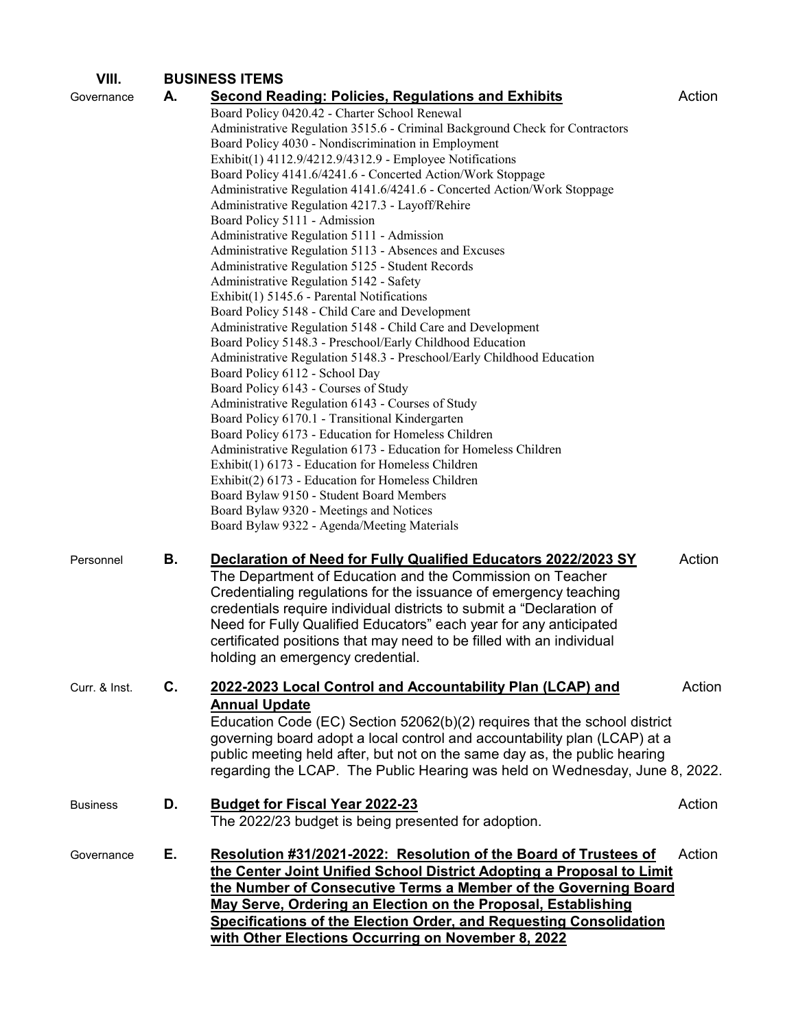| VIII.           | <b>BUSINESS ITEMS</b> |                                                                              |        |
|-----------------|-----------------------|------------------------------------------------------------------------------|--------|
| Governance      | А.                    | <b>Second Reading: Policies, Regulations and Exhibits</b>                    | Action |
|                 |                       | Board Policy 0420.42 - Charter School Renewal                                |        |
|                 |                       | Administrative Regulation 3515.6 - Criminal Background Check for Contractors |        |
|                 |                       | Board Policy 4030 - Nondiscrimination in Employment                          |        |
|                 |                       | Exhibit(1) 4112.9/4212.9/4312.9 - Employee Notifications                     |        |
|                 |                       | Board Policy 4141.6/4241.6 - Concerted Action/Work Stoppage                  |        |
|                 |                       | Administrative Regulation 4141.6/4241.6 - Concerted Action/Work Stoppage     |        |
|                 |                       | Administrative Regulation 4217.3 - Layoff/Rehire                             |        |
|                 |                       | Board Policy 5111 - Admission                                                |        |
|                 |                       | Administrative Regulation 5111 - Admission                                   |        |
|                 |                       | Administrative Regulation 5113 - Absences and Excuses                        |        |
|                 |                       | Administrative Regulation 5125 - Student Records                             |        |
|                 |                       | Administrative Regulation 5142 - Safety                                      |        |
|                 |                       | Exhibit(1) 5145.6 - Parental Notifications                                   |        |
|                 |                       | Board Policy 5148 - Child Care and Development                               |        |
|                 |                       | Administrative Regulation 5148 - Child Care and Development                  |        |
|                 |                       | Board Policy 5148.3 - Preschool/Early Childhood Education                    |        |
|                 |                       | Administrative Regulation 5148.3 - Preschool/Early Childhood Education       |        |
|                 |                       | Board Policy 6112 - School Day                                               |        |
|                 |                       | Board Policy 6143 - Courses of Study                                         |        |
|                 |                       | Administrative Regulation 6143 - Courses of Study                            |        |
|                 |                       | Board Policy 6170.1 - Transitional Kindergarten                              |        |
|                 |                       | Board Policy 6173 - Education for Homeless Children                          |        |
|                 |                       | Administrative Regulation 6173 - Education for Homeless Children             |        |
|                 |                       | Exhibit(1) 6173 - Education for Homeless Children                            |        |
|                 |                       | Exhibit(2) 6173 - Education for Homeless Children                            |        |
|                 |                       | Board Bylaw 9150 - Student Board Members                                     |        |
|                 |                       | Board Bylaw 9320 - Meetings and Notices                                      |        |
|                 |                       | Board Bylaw 9322 - Agenda/Meeting Materials                                  |        |
|                 |                       |                                                                              | Action |
| Personnel       | В.                    | Declaration of Need for Fully Qualified Educators 2022/2023 SY               |        |
|                 |                       | The Department of Education and the Commission on Teacher                    |        |
|                 |                       | Credentialing regulations for the issuance of emergency teaching             |        |
|                 |                       | credentials require individual districts to submit a "Declaration of         |        |
|                 |                       | Need for Fully Qualified Educators" each year for any anticipated            |        |
|                 |                       | certificated positions that may need to be filled with an individual         |        |
|                 |                       | holding an emergency credential.                                             |        |
| Curr. & Inst.   | C.                    | 2022-2023 Local Control and Accountability Plan (LCAP) and                   | Action |
|                 |                       |                                                                              |        |
|                 |                       | <b>Annual Update</b>                                                         |        |
|                 |                       | Education Code (EC) Section 52062(b)(2) requires that the school district    |        |
|                 |                       | governing board adopt a local control and accountability plan (LCAP) at a    |        |
|                 |                       | public meeting held after, but not on the same day as, the public hearing    |        |
|                 |                       | regarding the LCAP. The Public Hearing was held on Wednesday, June 8, 2022.  |        |
| <b>Business</b> | D.                    | <b>Budget for Fiscal Year 2022-23</b>                                        | Action |
|                 |                       | The 2022/23 budget is being presented for adoption.                          |        |
|                 |                       |                                                                              |        |
| Governance      | Е.                    | Resolution #31/2021-2022: Resolution of the Board of Trustees of             | Action |
|                 |                       | the Center Joint Unified School District Adopting a Proposal to Limit        |        |
|                 |                       | the Number of Consecutive Terms a Member of the Governing Board              |        |
|                 |                       | May Serve, Ordering an Election on the Proposal, Establishing                |        |
|                 |                       | Specifications of the Election Order, and Requesting Consolidation           |        |
|                 |                       |                                                                              |        |
|                 |                       | with Other Elections Occurring on November 8, 2022                           |        |